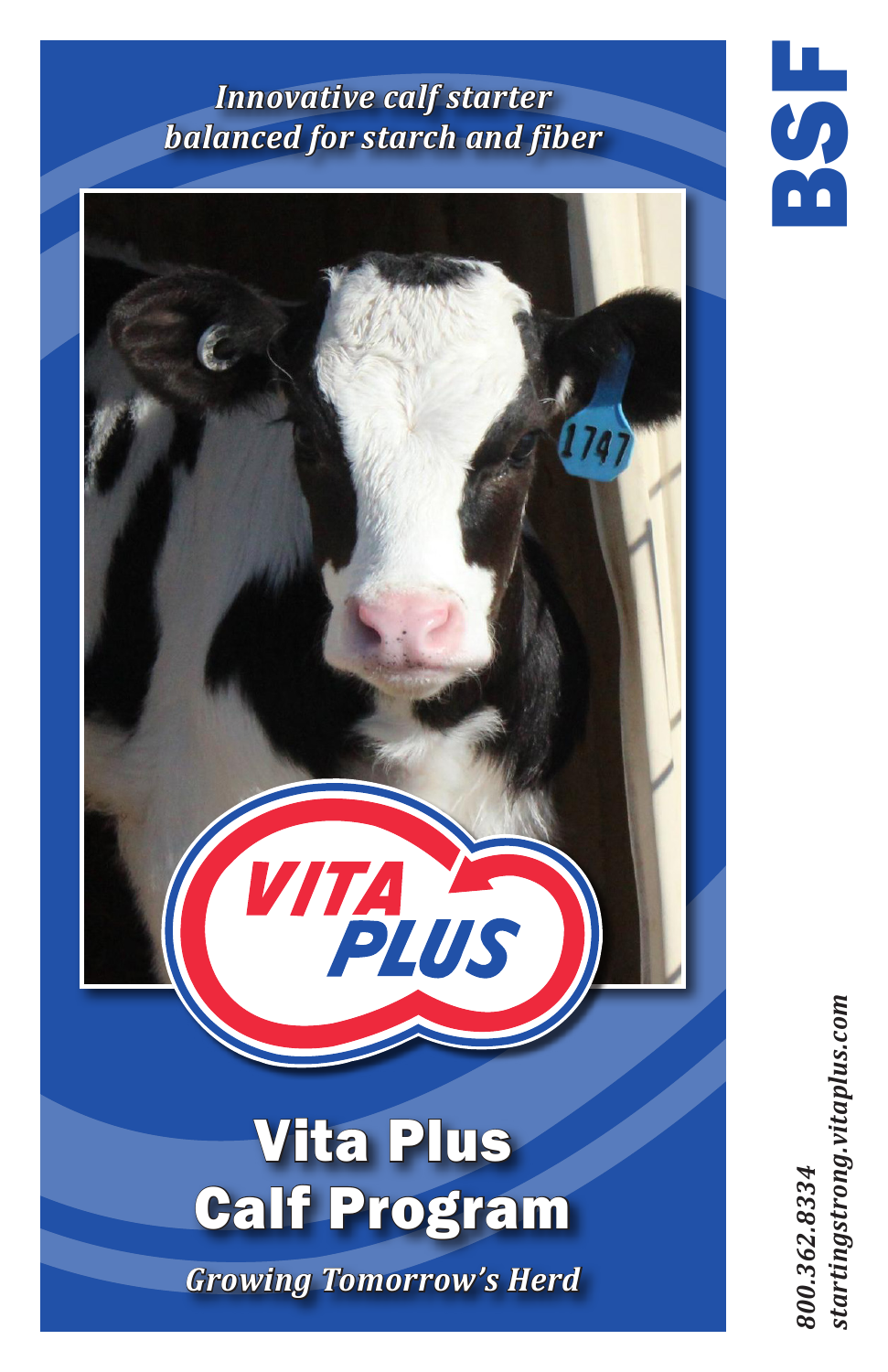# *Innovative calf starter balanced for starch and fiber*



startingstrong.vitaplus.com *800.362.8334 startingstrong.vitaplus.com*800.362.8334

 $\overline{\mathbf{S}}$